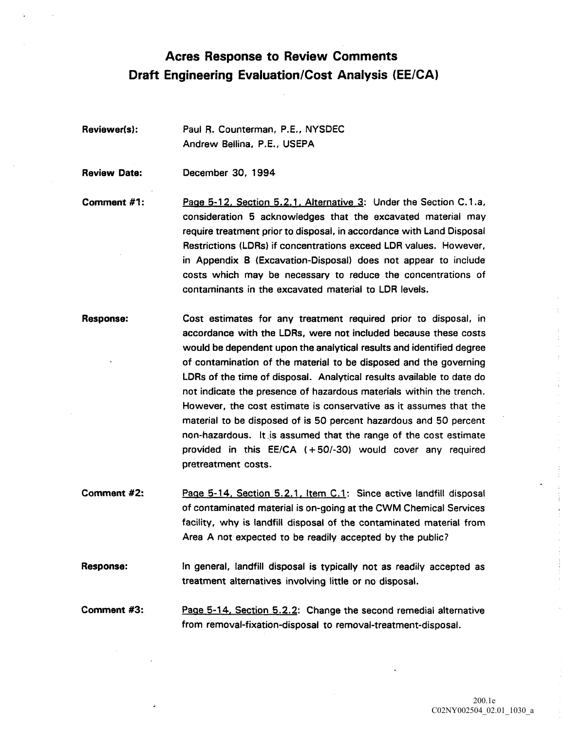## Acres Response to Review Comments Draft Engineering Evaluation/Cost Analysis (EE/CA)

Reviewer(s): Paul R. Counterman, P.E., NYSDEC Andrew Bellina, P.E., USEPA

Review Date: December 30, 1994

Comment #1: Page 5-12, Section 5.2.1, Alternative 3: Under the Section C.1.a, consideration 5 acknowledges that the excavated material may require treatment prior to disposal in accordance with Land Disposal Restrictions (LDRs) if concentrations exceed LDR values. However, in Appendix B (Excavation-Disposal) does not appear to include costs which may be necessary to reduce the concentrations of contaminants in the excavated material to LDR levels

Response: Cost estimates for any treatment required prior to disposal, in accordance with the LDRs, were not included because these costs would be dependent upon the analytical results and identified degree of contamination of the material to be disposed and the governing LDRs of the time of disposal. Analytical results available to date do not indicate the presence of hazardous materials within the trench However, the cost estimate is conservative as it assumes that the material to be disposed of is 50 percent hazardous and 50 percent non-hazardous. It is assumed that the range of the cost estimate provided in this  $EE/CA$   $(+50/-30)$  would cover any required pretreatment costs

Comment #2: Page 5-14, Section 5.2.1, Item C.1: Since active landfill disposal of contaminated material is on-going at the CWM Chemical Services facility, why is landfill disposal of the contaminated material from Area A not expected to be readily accepted by the public?

Response: **In general, landfill disposal is typically** not as readily accepted as treatment alternatives involving little or no disposa

Comment #3: Page 5-14, Section 5.2.2: Change the second remedial alternative from removal-fixation-disposal to removal-treatment-disposal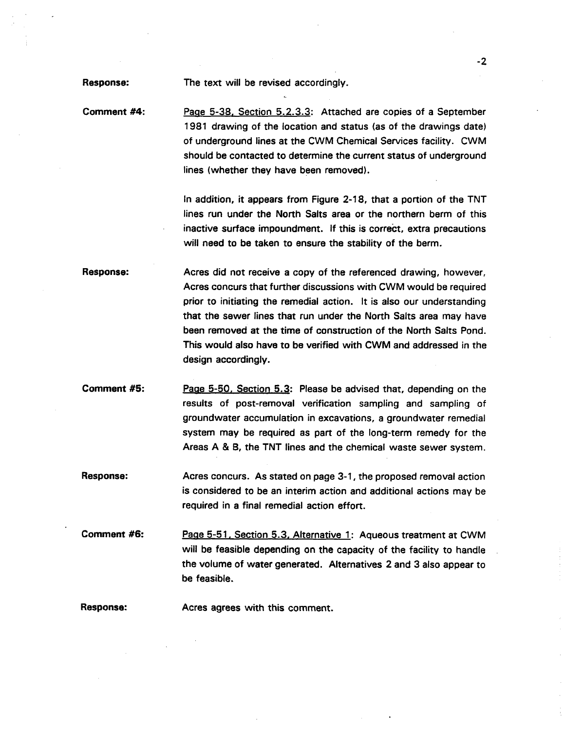Response: The text will be revised accordingly.

Comment #4: Page 5-38, Section 5.2.3.3: Attached are copies of a September 1981 drawing of the location and status (as of the drawings date) of underground lines at the CWM Chemical Services facility. CWM should be contacted to determine the current status of underground lines (whether they have been removed).

> In addition, it appears from Figure 2-18, that a portion of the TNT lines run under the North Salts area or the northern berm of this inactive surface impoundment. If this is correct, extra precautions will need to be taken to ensure the stability of the berm.

Response: Acres did not receive a copy of the referenced drawing, however, Acres concurs that further discussions with CWM would be required prior to initiating the remedial action. It is also our understanding that the sewer lines that run under the North Salts area may have been removed at the time of construction of the North Salts Pond This would also have to be verified with CWM and addressed in the design accordingly.

**Comment #5:** Page 5-50, Section 5.3: Please be advised that, depending on the results of post-removal verification sampling and sampling of groundwater accumulation in excavations, a groundwater remedial system may be required as part of the long-term remedy for the Areas A & B, the TNT lines and the chemical waste sewer system.

Response: Acres concurs. As stated on page 3-1, the proposed removal action is considered to be an interim action and additional actions may be required in a final remedial action effort.

Comment #6: Page 5-51, Section 5.3, Alternative 1: Aqueous treatment at CWM will be feasible depending on the capacity of the facility to handle the volume of water generated. Alternatives 2 and 3 also appear to be feasible

Response: Acres agrees with this comment.